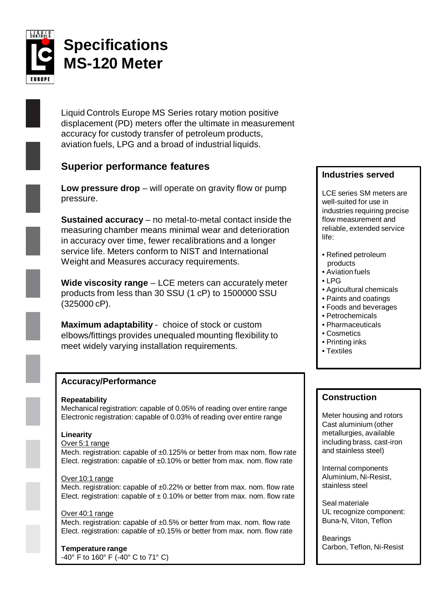

# **Specifications MS-120 Meter**

Liquid Controls Europe MS Series rotary motion positive displacement (PD) meters offer the ultimate in measurement accuracy for custody transfer of petroleum products, aviation fuels, LPG and a broad of industrial liquids.

# **Superior performance features**

**Low pressure drop** – will operate on gravity flow or pump pressure.

**Sustained accuracy** – no metal-to-metal contact inside the measuring chamber means minimal wear and deterioration in accuracy over time, fewer recalibrations and a longer service life. Meters conform to NIST and International Weight and Measures accuracy requirements.

**Wide viscosity range** – LCE meters can accurately meter products from less than 30 SSU (1 cP) to 1500000 SSU (325000 cP).

**Maximum adaptability** - choice of stock or custom elbows/fittings provides unequaled mounting flexibility to meet widely varying installation requirements.

# **Accuracy/Performance**

#### **Repeatability**

Mechanical registration: capable of 0.05% of reading over entire range Electronic registration: capable of 0.03% of reading over entire range

#### **Linearity**

#### Over 5:1 range

Mech. registration: capable of ±0.125% or better from max nom. flow rate Elect. registration: capable of ±0.10% or better from max. nom. flow rate

#### Over 10:1 range

Mech. registration: capable of ±0.22% or better from max. nom. flow rate Elect. registration: capable of  $\pm$  0.10% or better from max. nom. flow rate

#### Over 40:1 range

Mech. registration: capable of ±0.5% or better from max. nom. flow rate Elect. registration: capable of  $\pm 0.15\%$  or better from max. nom. flow rate

# **Temperature range**

-40° F to 160° F (-40° C to 71° C)

# **Industries served**

LCE series SM meters are well-suited for use in industries requiring precise flow measurement and reliable, extended service life:

- Refined petroleum products
- Aviation fuels
- LPG
- Agricultural chemicals
- Paints and coatings
- Foods and beverages
- Petrochemicals
- Pharmaceuticals
- Cosmetics
- Printing inks
- Textiles

# **Construction**

Meter housing and rotors Cast aluminium (other metallurgies, available including brass, cast-iron and stainless steel)

Internal components Aluminium, Ni-Resist, stainless steel

Seal materiale UL recognize component: Buna-N, Viton, Teflon

Bearings Carbon, Teflon, Ni-Resist